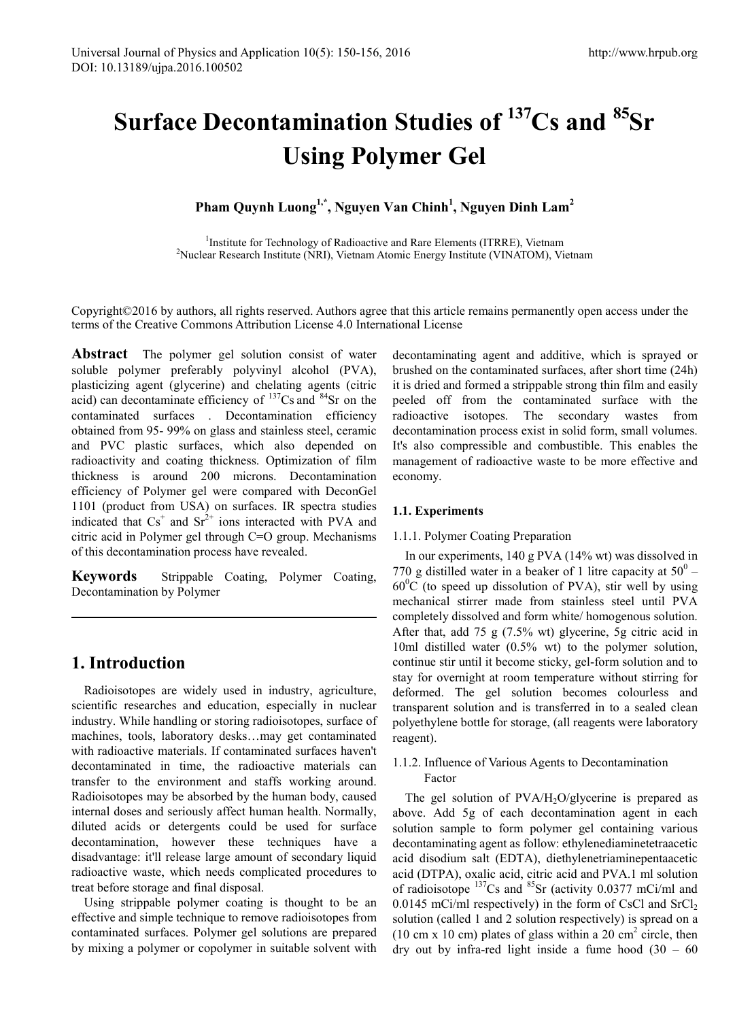# **Surface Decontamination Studies of 137Cs and 85Sr Using Polymer Gel**

**Pham Quynh Luong1,\*, Nguyen Van Chinh1 , Nguyen Dinh Lam<sup>2</sup>**

<sup>1</sup>Institute for Technology of Radioactive and Rare Elements (ITRRE), Vietnam<br><sup>2</sup>Nuclear Research Institute (NRI), Vietnam Atomic Energy Institute (VINATOM), Vietnam <sup>2</sup>Nuclear Research Institute (NRI), Vietnam Atomic Energy Institute (VINATOM), Vietnam

Copyright©2016 by authors, all rights reserved. Authors agree that this article remains permanently open access under the terms of the Creative Commons Attribution License 4.0 International License

**Abstract** The polymer gel solution consist of water soluble polymer preferably polyvinyl alcohol (PVA), plasticizing agent (glycerine) and chelating agents (citric acid) can decontaminate efficiency of 137Cs and 84Sr on the contaminated surfaces . Decontamination efficiency obtained from 95- 99% on glass and stainless steel, ceramic and PVC plastic surfaces, which also depended on radioactivity and coating thickness. Optimization of film thickness is around 200 microns. Decontamination efficiency of Polymer gel were compared with DeconGel 1101 (product from USA) on surfaces. IR spectra studies indicated that  $Cs<sup>+</sup>$  and  $Sr<sup>2+</sup>$  ions interacted with PVA and citric acid in Polymer gel through C=O group. Mechanisms of this decontamination process have revealed.

**Keywords** Strippable Coating, Polymer Coating, Decontamination by Polymer

## **1. Introduction**

Radioisotopes are widely used in industry, agriculture, scientific researches and education, especially in nuclear industry. While handling or storing radioisotopes, surface of machines, tools, laboratory desks…may get contaminated with radioactive materials. If contaminated surfaces haven't decontaminated in time, the radioactive materials can transfer to the environment and staffs working around. Radioisotopes may be absorbed by the human body, caused internal doses and seriously affect human health. Normally, diluted acids or detergents could be used for surface decontamination, however these techniques have a disadvantage: it'll release large amount of secondary liquid radioactive waste, which needs complicated procedures to treat before storage and final disposal.

Using strippable polymer coating is thought to be an effective and simple technique to remove radioisotopes from contaminated surfaces. Polymer gel solutions are prepared by mixing a polymer or copolymer in suitable solvent with

decontaminating agent and additive, which is sprayed or brushed on the contaminated surfaces, after short time (24h) it is dried and formed a strippable strong thin film and easily peeled off from the contaminated surface with the radioactive isotopes. The secondary wastes from decontamination process exist in solid form, small volumes. It's also compressible and combustible. This enables the management of radioactive waste to be more effective and economy.

## **1.1. Experiments**

#### 1.1.1. Polymer Coating Preparation

In our experiments, 140 g PVA (14% wt) was dissolved in 770 g distilled water in a beaker of 1 litre capacity at  $50^{\circ}$  –  $60^{\circ}$ C (to speed up dissolution of PVA), stir well by using mechanical stirrer made from stainless steel until PVA completely dissolved and form white/ homogenous solution. After that, add 75 g (7.5% wt) glycerine, 5g citric acid in 10ml distilled water (0.5% wt) to the polymer solution, continue stir until it become sticky, gel-form solution and to stay for overnight at room temperature without stirring for deformed. The gel solution becomes colourless and transparent solution and is transferred in to a sealed clean polyethylene bottle for storage, (all reagents were laboratory reagent).

1.1.2. Influence of Various Agents to Decontamination Factor

The gel solution of  $PVA/H<sub>2</sub>O/glycerine$  is prepared as above. Add 5g of each decontamination agent in each solution sample to form polymer gel containing various decontaminating agent as follow: ethylenediaminetetraacetic acid disodium salt (EDTA), diethylenetriaminepentaacetic acid (DTPA), oxalic acid, citric acid and PVA.1 ml solution of radioisotope  $^{137}Cs$  and  $^{85}Sr$  (activity 0.0377 mCi/ml and 0.0145 mCi/ml respectively) in the form of CsCl and  $SrCl<sub>2</sub>$ solution (called 1 and 2 solution respectively) is spread on a (10 cm x 10 cm) plates of glass within a 20 cm<sup>2</sup> circle, then dry out by infra-red light inside a fume hood  $(30 - 60)$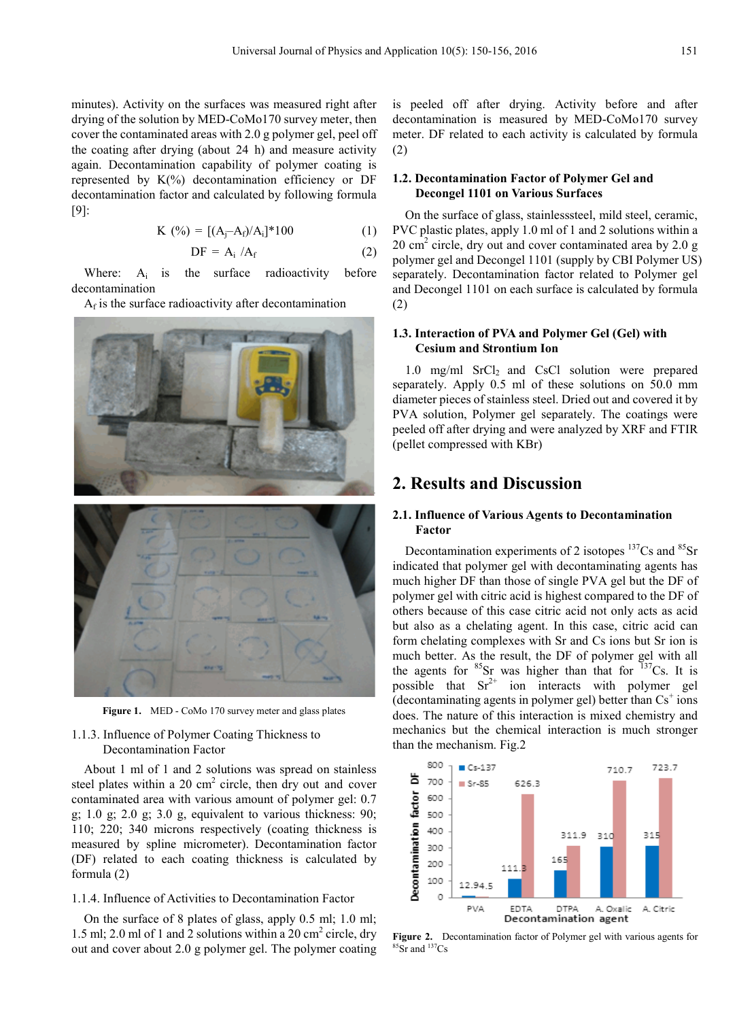minutes). Activity on the surfaces was measured right after drying of the solution by MED-CoMo170 survey meter, then cover the contaminated areas with 2.0 g polymer gel, peel off the coating after drying (about 24 h) and measure activity again. Decontamination capability of polymer coating is represented by  $K(\%)$  decontamination efficiency or DF decontamination factor and calculated by following formula [9]:

$$
K(\%) = [(A_j - A_f)/A_i]^*100
$$
 (1)

$$
DF = A_i / A_f \tag{2}
$$

Where:  $A_i$  is the surface radioactivity before decontamination

 $A_f$  is the surface radioactivity after decontamination



**Figure 1.** MED - CoMo 170 survey meter and glass plates

## 1.1.3. Influence of Polymer Coating Thickness to Decontamination Factor

About 1 ml of 1 and 2 solutions was spread on stainless steel plates within a 20  $\text{cm}^2$  circle, then dry out and cover contaminated area with various amount of polymer gel: 0.7 g;  $1.0$  g;  $2.0$  g;  $3.0$  g, equivalent to various thickness:  $90$ ; 110; 220; 340 microns respectively (coating thickness is measured by spline micrometer). Decontamination factor (DF) related to each coating thickness is calculated by formula (2)

#### 1.1.4. Influence of Activities to Decontamination Factor

On the surface of 8 plates of glass, apply 0.5 ml; 1.0 ml; 1.5 ml; 2.0 ml of 1 and 2 solutions within a 20 cm<sup>2</sup> circle, dry out and cover about 2.0 g polymer gel. The polymer coating

is peeled off after drying. Activity before and after decontamination is measured by MED-CoMo170 survey meter. DF related to each activity is calculated by formula (2)

## **1.2. Decontamination Factor of Polymer Gel and Decongel 1101 on Various Surfaces**

On the surface of glass, stainlesssteel, mild steel, ceramic, PVC plastic plates, apply 1.0 ml of 1 and 2 solutions within a  $20 \text{ cm}^2$  circle, dry out and cover contaminated area by 2.0 g polymer gel and Decongel 1101 (supply by CBI Polymer US) separately. Decontamination factor related to Polymer gel and Decongel 1101 on each surface is calculated by formula (2)

## **1.3. Interaction of PVA and Polymer Gel (Gel) with Cesium and Strontium Ion**

1.0 mg/ml  $SrCl<sub>2</sub>$  and CsCl solution were prepared separately. Apply 0.5 ml of these solutions on 50.0 mm diameter pieces of stainless steel. Dried out and covered it by PVA solution, Polymer gel separately. The coatings were peeled off after drying and were analyzed by XRF and FTIR (pellet compressed with KBr)

## **2. Results and Discussion**

#### **2.1. Influence of Various Agents to Decontamination Factor**

Decontamination experiments of 2 isotopes  $^{137}Cs$  and  $^{85}Sr$ indicated that polymer gel with decontaminating agents has much higher DF than those of single PVA gel but the DF of polymer gel with citric acid is highest compared to the DF of others because of this case citric acid not only acts as acid but also as a chelating agent. In this case, citric acid can form chelating complexes with Sr and Cs ions but Sr ion is much better. As the result, the DF of polymer gel with all the agents for  ${}^{85}Sr$  was higher than that for  ${}^{137}Cs$ . It is possible that  $Sr^{2+}$  ion interacts with polymer gel (decontaminating agents in polymer gel) better than  $Cs^+$  ions does. The nature of this interaction is mixed chemistry and mechanics but the chemical interaction is much stronger than the mechanism. Fig.2



**Figure 2.** Decontamination factor of Polymer gel with various agents for <sup>85</sup>Sr and <sup>137</sup>Cs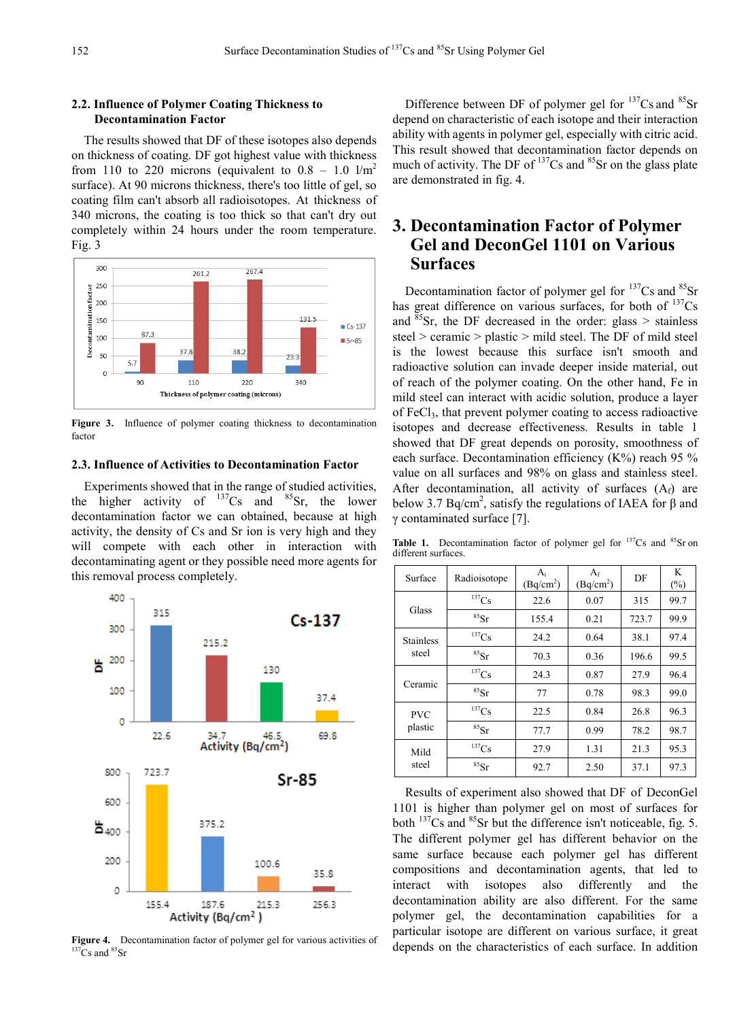## **2.2. Influence of Polymer Coating Thickness to Decontamination Factor**

The results showed that DF of these isotopes also depends on thickness of coating. DF got highest value with thickness from 110 to 220 microns (equivalent to  $0.8 - 1.0$  l/m<sup>2</sup> surface). At 90 microns thickness, there's too little of gel, so coating film can't absorb all radioisotopes. At thickness of 340 microns, the coating is too thick so that can't dry out completely within 24 hours under the room temperature. Fig. 3



Figure 3. Influence of polymer coating thickness to decontamination factor

## **2.3. Influence of Activities to Decontamination Factor**

Experiments showed that in the range of studied activities, the higher activity of  $^{137}Cs$  and  $^{85}Sr$ , the lower decontamination factor we can obtained, because at high activity, the density of Cs and Sr ion is very high and they will compete with each other in interaction with decontaminating agent or they possible need more agents for this removal process completely.



**Figure 4.** Decontamination factor of polymer gel for various activities of <sup>137</sup>Cs and <sup>85</sup>Sr

Difference between DF of polymer gel for  $137Cs$  and  $85Sr$ depend on characteristic of each isotope and their interaction ability with agents in polymer gel, especially with citric acid. This result showed that decontamination factor depends on much of activity. The DF of  $137Cs$  and  $85Sr$  on the glass plate are demonstrated in fig. 4.

# **3. Decontamination Factor of Polymer Gel and DeconGel 1101 on Various Surfaces**

Decontamination factor of polymer gel for  $^{137}Cs$  and  $^{85}Sr$ has great difference on various surfaces, for both of  $137Cs$ and  $85$ Sr, the DF decreased in the order: glass > stainless steel > ceramic > plastic > mild steel. The DF of mild steel is the lowest because this surface isn't smooth and radioactive solution can invade deeper inside material, out of reach of the polymer coating. On the other hand, Fe in mild steel can interact with acidic solution, produce a layer of FeCl3, that prevent polymer coating to access radioactive isotopes and decrease effectiveness. Results in table 1 showed that DF great depends on porosity, smoothness of each surface. Decontamination efficiency (K%) reach 95 % value on all surfaces and 98% on glass and stainless steel. After decontamination, all activity of surfaces  $(A_f)$  are below 3.7 Bq/cm<sup>2</sup>, satisfy the regulations of IAEA for  $\beta$  and γ contaminated surface [7].

Table 1. Decontamination factor of polymer gel for <sup>137</sup>Cs and <sup>85</sup>Sr on different surfaces.

| Surface                   | Radioisotope         | $A_i$<br>(Bq/cm <sup>2</sup> ) | $A_f$<br>(Bq/cm <sup>2</sup> ) | DF    | K<br>$(\%)$ |
|---------------------------|----------------------|--------------------------------|--------------------------------|-------|-------------|
| Glass                     | $137$ Cs             | 22.6                           | 0.07                           | 315   | 99.7        |
|                           | ${}^{85}Sr$          | 155.4                          | 0.21                           | 723.7 | 99.9        |
| <b>Stainless</b><br>steel | ${}^{137}Cs$         | 24.2                           | 0.64                           | 38.1  | 97.4        |
|                           | ${}^{85}\mathrm{Sr}$ | 70.3                           | 0.36                           | 196.6 | 99.5        |
| Ceramic                   | ${}^{137}Cs$         | 24.3                           | 0.87                           | 27.9  | 96.4        |
|                           | ${}^{85}Sr$          | 77                             | 0.78                           | 98.3  | 99.0        |
| <b>PVC</b><br>plastic     | ${}^{137}Cs$         | 22.5                           | 0.84                           | 26.8  | 96.3        |
|                           | ${}^{85}Sr$          | 77.7                           | 0.99                           | 78.2  | 98.7        |
| Mild<br>steel             | $^{137}\mathrm{Cs}$  | 27.9                           | 1.31                           | 21.3  | 95.3        |
|                           | ${}^{85}Sr$          | 92.7                           | 2.50                           | 37.1  | 97.3        |

Results of experiment also showed that DF of DeconGel 1101 is higher than polymer gel on most of surfaces for both <sup>137</sup>Cs and <sup>85</sup>Sr but the difference isn't noticeable, fig. 5. The different polymer gel has different behavior on the same surface because each polymer gel has different compositions and decontamination agents, that led to interact with isotopes also differently and the decontamination ability are also different. For the same polymer gel, the decontamination capabilities for a particular isotope are different on various surface, it great depends on the characteristics of each surface. In addition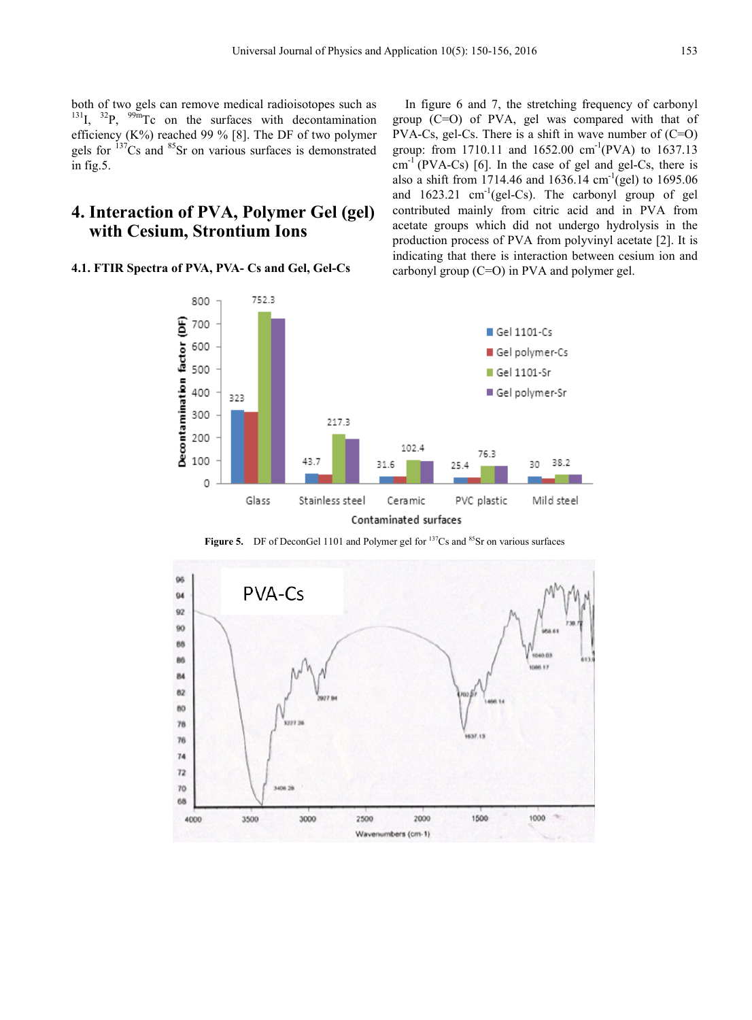both of two gels can remove medical radioisotopes such as  $131I$ ,  $32P$ ,  $99mTc$  on the surfaces with decontamination efficiency  $(K\%)$  reached 99 % [8]. The DF of two polymer gels for  $137$ Cs and  $85$ Sr on various surfaces is demonstrated in fig.5.

# **4. Interaction of PVA, Polymer Gel (gel) with Cesium, Strontium Ions**

#### **4.1. FTIR Spectra of PVA, PVA- Cs and Gel, Gel-Cs**

In figure 6 and 7, the stretching frequency of carbonyl group (C=O) of PVA, gel was compared with that of PVA-Cs, gel-Cs. There is a shift in wave number of (C=O) group: from 1710.11 and 1652.00 cm<sup>-1</sup>(PVA) to 1637.13  $cm^{-1}$  (PVA-Cs) [6]. In the case of gel and gel-Cs, there is also a shift from 1714.46 and 1636.14  $cm^{-1}$ (gel) to 1695.06 and  $1623.21$  cm<sup>-1</sup>(gel-Cs). The carbonyl group of gel contributed mainly from citric acid and in PVA from acetate groups which did not undergo hydrolysis in the production process of PVA from polyvinyl acetate [2]. It is indicating that there is interaction between cesium ion and carbonyl group (C=O) in PVA and polymer gel.



Figure 5. DF of DeconGel 1101 and Polymer gel for <sup>137</sup>Cs and <sup>85</sup>Sr on various surfaces

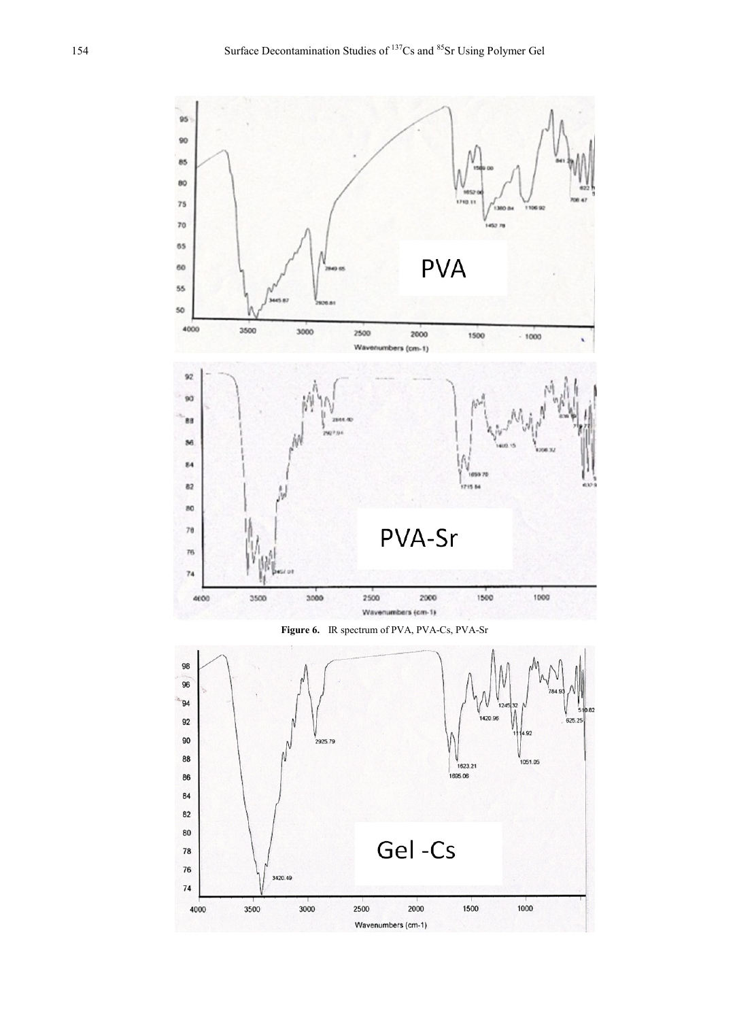

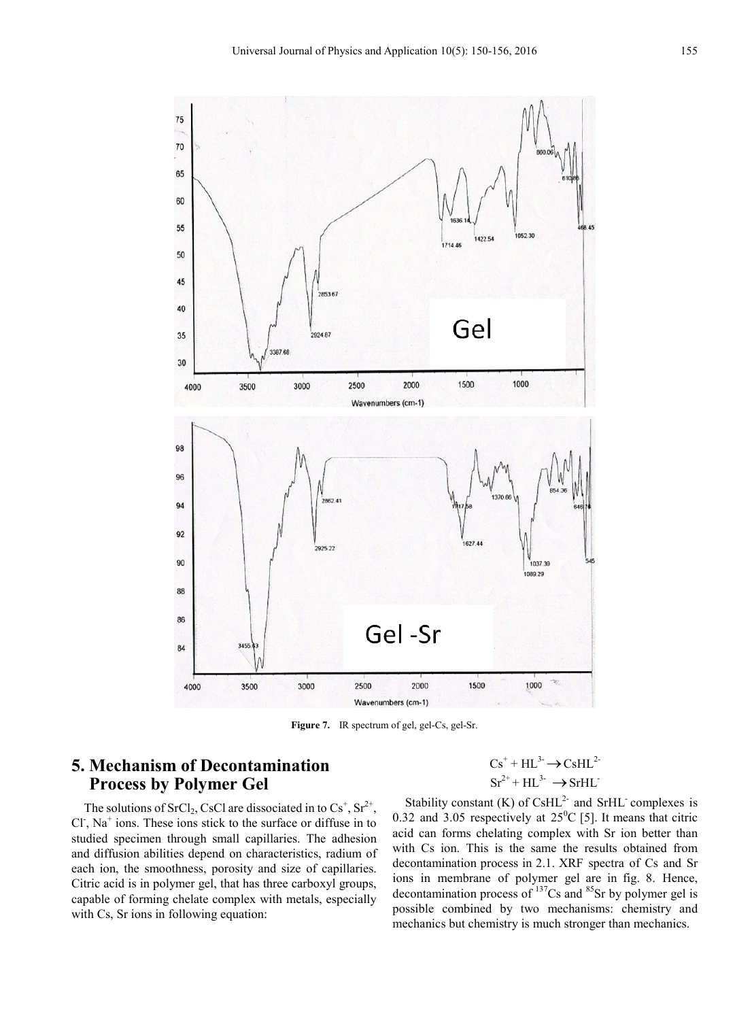

**Figure 7.** IR spectrum of gel, gel-Cs, gel-Sr.

# **5. Mechanism of Decontamination Process by Polymer Gel**

The solutions of SrCl<sub>2</sub>, CsCl are dissociated in to  $Cs^+$ ,  $Sr^{2+}$ , Cl<sup>-</sup>, Na<sup>+</sup> ions. These ions stick to the surface or diffuse in to studied specimen through small capillaries. The adhesion and diffusion abilities depend on characteristics, radium of each ion, the smoothness, porosity and size of capillaries. Citric acid is in polymer gel, that has three carboxyl groups, capable of forming chelate complex with metals, especially with Cs, Sr ions in following equation:

$$
Cs^{+} + HL^{3-} \rightarrow CsHL^{2-}
$$

$$
Sr^{2+} + HL^{3-} \rightarrow SrHL^{-}
$$

Stability constant  $(K)$  of CsHL<sup>2-</sup> and SrHL<sup>-</sup> complexes is 0.32 and 3.05 respectively at  $25^{\circ}$ C [5]. It means that citric acid can forms chelating complex with Sr ion better than with Cs ion. This is the same the results obtained from decontamination process in 2.1. XRF spectra of Cs and Sr ions in membrane of polymer gel are in fig. 8. Hence, decontamination process of  $^{137}Cs$  and  $^{85}Sr$  by polymer gel is possible combined by two mechanisms: chemistry and mechanics but chemistry is much stronger than mechanics.